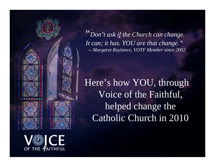

"*Don't ask if the Church can change. It can; it has. YOU are that change." -- Margaret Roylance, VOTF Member since 2002*

Here's how YOU, through Voice of the Faithful, helped change the Catholic Church in 2010

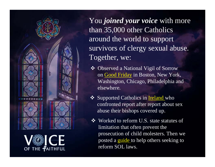



You *joined your voice* with more than 35,000 other Catholics around the world to support survivors of clergy sexual abuse. Together, we:

- Observed a National Vigil of Sorrow on [Good Friday](http://www.votf.org/goodfridayvigil2010) in Boston, New York, Washington, Chicago, Philadelphia and elsewhere.
- ❖ Supported Catholics in **Ireland** who confronted report after report about sex abuse their bishops covered up.
- Worked to reform U.S. state statutes of limitation that often prevent the prosecution of child molesters. Then we posted a *guide* to help others seeking to reform SOL laws.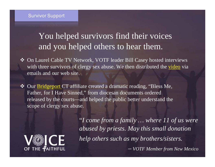### **Survivor Support**

## You helped survivors find their voices and you helped others to hear them.

- On Laurel Cable TV Network, VOTF leader Bill Casey hosted interviews with three survivors of clergy sex abuse. We then distributed the [video](http://votf.org/14775) via emails and our web site.
- $\frac{1}{2}$  Our [Bridgeport](http://www.votfbpt.org/) CT affiliate created a dramatic reading, "Bless Me, Father, for I Have Sinned," from diocesan documents ordered released by the courts—and helped the public better understand the scope of clergy sex abuse.



"*I come from a family … where 11 of us were abused by priests. May this small donation help others such as my brothers/sisters. – VOTF Member from New Mexico*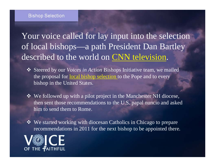#### **Bishop Selection**

Your voice called for lay input into the selection of local bishops—a path President Dan Bartley described to the world on [CNN television](http://votf.org/9951).

- Steered by our *Voices in Action* Bishops Initiative team, we mailed the proposal for <u>local bishop selection</u> to the Pope and to every bishop in the United States.
- We followed up with a pilot project in the Manchester NH diocese, then sent those recommendations to the U.S. papal nuncio and asked him to send them to Rome.
- We started working with diocesan Catholics in Chicago to prepare recommendations in 2011 for the next bishop to be appointed there.

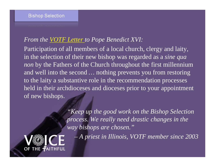### *From the [VOTF Letter](http://www.votf.org/Bishops/cover letter Pope FINAL.pdf) to Pope Benedict XVI:*

Participation of all members of a local church, clergy and laity, in the selection of their new bishop was regarded as a *sine qua non* by the Fathers of the Church throughout the first millennium and well into the second *…* nothing prevents you from restoring to the laity a substantive role in the recommendation processes held in their archdioceses and dioceses prior to your appointment. of new bishops.

> *"Keep up the good work on the Bishop Selection process. We really need drastic changes in the way bishops are chosen."*

*– A priest in Illinois, VOTF member since 2003* 

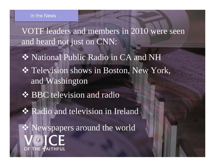In the News ...

VOTF leaders and members in 2010 were seen and heard not just on CNN: ◆ National Public Radio in CA and NH Television shows in Boston, New York, and Washington **❖ BBC television and radio ❖ Radio and television in Ireland** 

 Newspapers around the worldOF THE FAITHFUL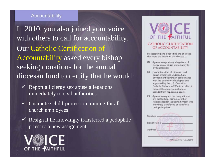### Accountability

In 2010, you also joined your voice with others to call for accountability. Our [Catholic Certification of](http://votf.org/certificate.pdf)  [Accountability](http://votf.org/certificate.pdf) asked every bishop seeking donations for the annual diocesan fund to certify that he would:

- $\checkmark$  Report all clergy sex abuse allegations immediately to civil authorities
- $\checkmark$  Guarantee child-protection training for all church employees
- $\checkmark$  Resign if he knowingly transferred a pedophile priest to a new assignment.





By accepting and depositing the enclosed donation, the leader of this diocese...

- Agrees to report any allegations of  $(1)$ clergy sexual abuse immediately to civil authorities:
- Guarantees that all diocesan and parish employees undergo Safe Environment training in conformance with the guidelines developed and approved by the U.S. Council of Catholic Bishops in 2004 in an effort to prevent the clergy sexual abuse scandal from happening again;
- (3) Agrees to request the resignation of any archbishop, bishop, or other religious leader, including himself, who knowingly transferred or transfers a pedophile priest.

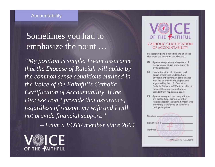## Sometimes you had to emphasize the point …

*"My position is simple. I want assurance that the Diocese of Raleigh will abide by the common sense conditions outlined in the Voice of the Faithful's Catholic Certification of Accountability. If the Diocese won't provide that assurance, regardless of reason, my wife and I will not provide financial support."*

*– From a VOTF member since 2004*





By accepting and depositing the enclosed donation, the leader of this diocese...

- Agrees to report any allegations of  $(1)$ clergy sexual abuse immediately to civil authorities:
- Guarantees that all diocesan and parish employees undergo Safe Environment training in conformance with the guidelines developed and approved by the U.S. Council of Catholic Bishops in 2004 in an effort to prevent the clergy sexual abuse scandal from happening again;
- Agrees to request the resignation of  $(3)$ any archbishop, bishop, or other religious leader, including himself, who knowingly transferred or transfers a pedophile priest.

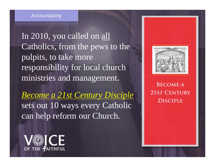In 2010, you called on all Catholics, from the pews to the pulpits, to take more responsibility for local church ministries and management.

*[Become a 21st Century Disciple](http://votf.org/pentecost.pdf)*  sets out 10 ways every Catholic can help reform our Church.





**BECOME A 21ST CENTURY DISCIPLE**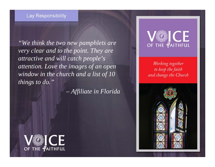### **Lay Responsibility**

*"We think the two new pamphlets are very clear and to the point. They are attractive and will catch people's attention. Love the images of an open window in the church and a list of 10 things to do."*

*– Affiliate in Florida*



Working together to keep the faith and change the Church



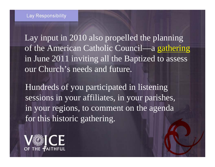Lay input in 2010 also propelled the planning of the American Catholic Council—a [gathering](http://americancatholiccouncil.org/)  in June 2011 inviting all the Baptized to assess our Church's needs and future.

Hundreds of you participated in listening sessions in your affiliates, in your parishes, in your regions, to comment on the agenda for this historic gathering.

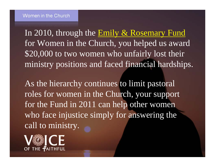In 2010, through the **Emily & Rosemary Fund** for Women in the Church, you helped us award \$20,000 to two women who unfairly lost their ministry positions and faced financial hardships.

As the hierarchy continues to limit pastoral roles for women in the Church, your support for the Fund in 2011 can help other women who face injustice simply for answering the call to ministry.

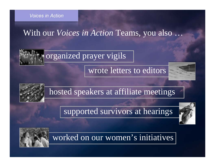**Voices in Action** 

## With our *Voices in Action* Teams, you also …

# organized prayer vigils

### wrote letters to editors





## hosted speakers at affiliate meetings

## supported survivors at hearings





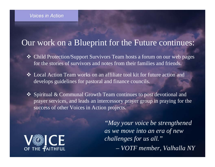#### **Voices in Action**

## Our work on a Blueprint for the Future continues:

- Child Protection/Support Survivors Team hosts a forum on our web pages for the stories of survivors and notes from their families and friends.
- Local Action Team works on an affiliate tool kit for future action and develops guidelines for pastoral and finance councils.
- Spiritual & Communal Growth Team continues to post devotional and prayer services, and leads an intercessory prayer group in praying for the success of other Voices in Action projects.



*"May your voice be strengthened as we move into an era of new challenges for us all." – VOTF member, Valhalla NY*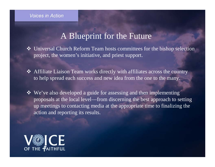#### **Voices in Action**

### A Blueprint for the Future

 Universal Church Reform Team hosts committees for the bishop selection project, the women's initiative, and priest support.

 Affiliate Liaison Team works directly with affiliates across the country to help spread each success and new idea from the one to the many.

 We've also developed a guide for assessing and then implementing proposals at the local level—from discerning the best approach to setting up meetings to contacting media at the appropriate time to finalizing the action and reporting its results.

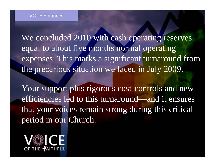We concluded 2010 with cash operating reserves equal to about five months normal operating expenses. This marks a significant turnaround from the precarious situation we faced in July 2009.

Your support plus rigorous cost-controls and new efficiencies led to this turnaround—and it ensures that your voices remain strong during this critical period in our Church.

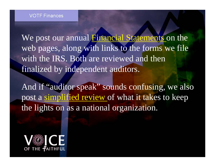We post our annual [Financial Statements](http://www.votf.org/page/votf-financial-statements/532) on the web pages, along with links to the forms we file with the IRS. Both are reviewed and then finalized by independent auditors.

And if "auditor speak" sounds confusing, we also post a [simplified review](http://votf.org/KeepLightsOn.pdf) of what it takes to keep the lights on as a national organization.

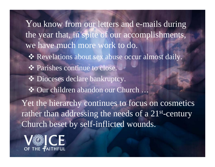You know from our letters and e-mails during the year that, in spite of our accomplishments, we have much more work to do. \* Revelations about sex abuse occur almost daily. **❖ Parishes continue to close.**  $\clubsuit$  Dioceses declare bankruptcy. Our children abandon our Church … Yet the hierarchy continues to focus on cosmetics rather than addressing the needs of a 21<sup>st</sup>-century Church beset by self-inflicted wounds.

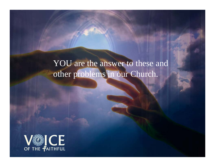YOU are the answer to these and other problems in our Church.

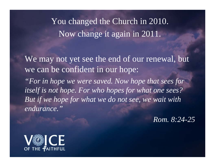You changed the Church in 2010. Now change it again in 2011.

We may not yet see the end of our renewal, but we can be confident in our hope: *"For in hope we were saved. Now hope that sees for itself is not hope. For who hopes for what one sees? But if we hope for what we do not see, we wait with endurance."*

*Rom. 8:24-25*